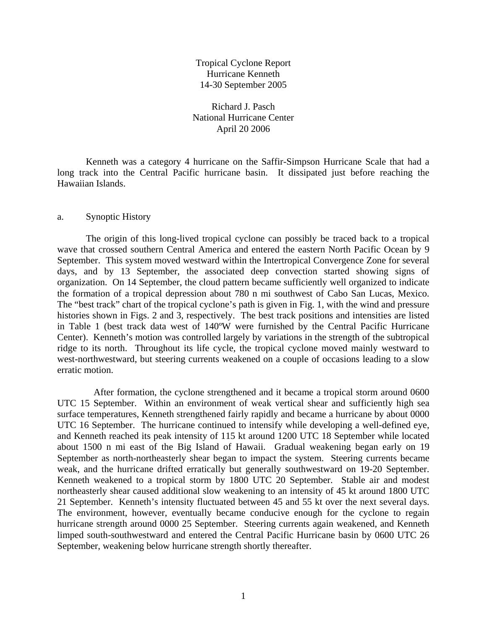Tropical Cyclone Report Hurricane Kenneth 14-30 September 2005

Richard J. Pasch National Hurricane Center April 20 2006

 Kenneth was a category 4 hurricane on the Saffir-Simpson Hurricane Scale that had a long track into the Central Pacific hurricane basin. It dissipated just before reaching the Hawaiian Islands.

## a. Synoptic History

 The origin of this long-lived tropical cyclone can possibly be traced back to a tropical wave that crossed southern Central America and entered the eastern North Pacific Ocean by 9 September. This system moved westward within the Intertropical Convergence Zone for several days, and by 13 September, the associated deep convection started showing signs of organization. On 14 September, the cloud pattern became sufficiently well organized to indicate the formation of a tropical depression about 780 n mi southwest of Cabo San Lucas, Mexico. The "best track" chart of the tropical cyclone's path is given in Fig. 1, with the wind and pressure histories shown in Figs. 2 and 3, respectively. The best track positions and intensities are listed in Table 1 (best track data west of 140ºW were furnished by the Central Pacific Hurricane Center). Kenneth's motion was controlled largely by variations in the strength of the subtropical ridge to its north. Throughout its life cycle, the tropical cyclone moved mainly westward to west-northwestward, but steering currents weakened on a couple of occasions leading to a slow erratic motion.

 After formation, the cyclone strengthened and it became a tropical storm around 0600 UTC 15 September. Within an environment of weak vertical shear and sufficiently high sea surface temperatures, Kenneth strengthened fairly rapidly and became a hurricane by about 0000 UTC 16 September. The hurricane continued to intensify while developing a well-defined eye, and Kenneth reached its peak intensity of 115 kt around 1200 UTC 18 September while located about 1500 n mi east of the Big Island of Hawaii. Gradual weakening began early on 19 September as north-northeasterly shear began to impact the system. Steering currents became weak, and the hurricane drifted erratically but generally southwestward on 19-20 September. Kenneth weakened to a tropical storm by 1800 UTC 20 September. Stable air and modest northeasterly shear caused additional slow weakening to an intensity of 45 kt around 1800 UTC 21 September. Kenneth's intensity fluctuated between 45 and 55 kt over the next several days. The environment, however, eventually became conducive enough for the cyclone to regain hurricane strength around 0000 25 September. Steering currents again weakened, and Kenneth limped south-southwestward and entered the Central Pacific Hurricane basin by 0600 UTC 26 September, weakening below hurricane strength shortly thereafter.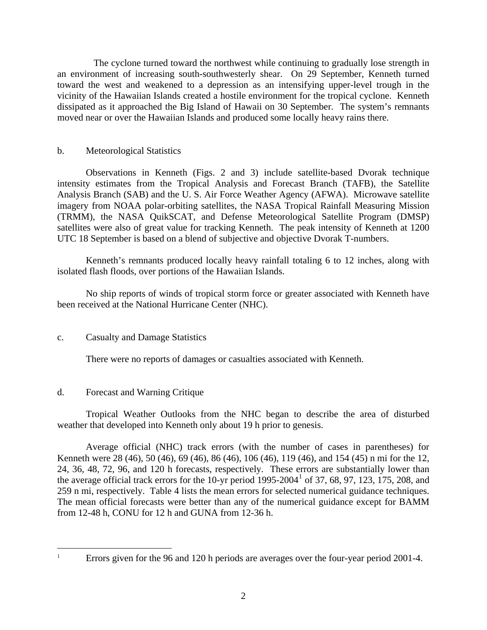The cyclone turned toward the northwest while continuing to gradually lose strength in an environment of increasing south-southwesterly shear. On 29 September, Kenneth turned toward the west and weakened to a depression as an intensifying upper-level trough in the vicinity of the Hawaiian Islands created a hostile environment for the tropical cyclone. Kenneth dissipated as it approached the Big Island of Hawaii on 30 September. The system's remnants moved near or over the Hawaiian Islands and produced some locally heavy rains there.

## b. Meteorological Statistics

 Observations in Kenneth (Figs. 2 and 3) include satellite-based Dvorak technique intensity estimates from the Tropical Analysis and Forecast Branch (TAFB), the Satellite Analysis Branch (SAB) and the U. S. Air Force Weather Agency (AFWA). Microwave satellite imagery from NOAA polar-orbiting satellites, the NASA Tropical Rainfall Measuring Mission (TRMM), the NASA QuikSCAT, and Defense Meteorological Satellite Program (DMSP) satellites were also of great value for tracking Kenneth. The peak intensity of Kenneth at 1200 UTC 18 September is based on a blend of subjective and objective Dvorak T-numbers.

 Kenneth's remnants produced locally heavy rainfall totaling 6 to 12 inches, along with isolated flash floods, over portions of the Hawaiian Islands.

 No ship reports of winds of tropical storm force or greater associated with Kenneth have been received at the National Hurricane Center (NHC).

## c. Casualty and Damage Statistics

There were no reports of damages or casualties associated with Kenneth.

## d. Forecast and Warning Critique

 Tropical Weather Outlooks from the NHC began to describe the area of disturbed weather that developed into Kenneth only about 19 h prior to genesis.

 Average official (NHC) track errors (with the number of cases in parentheses) for Kenneth were 28 (46), 50 (46), 69 (46), 86 (46), 106 (46), 119 (46), and 154 (45) n mi for the 12, 24, 36, 48, 72, 96, and 120 h forecasts, respectively. These errors are substantially lower than the average official track errors for the [1](#page-1-0)0-yr period  $1995-2004<sup>1</sup>$  of 37, 68, 97, 123, 175, 208, and 259 n mi, respectively. Table 4 lists the mean errors for selected numerical guidance techniques. The mean official forecasts were better than any of the numerical guidance except for BAMM from 12-48 h, CONU for 12 h and GUNA from 12-36 h.

<span id="page-1-0"></span> $\overline{a}$ 1

Errors given for the 96 and 120 h periods are averages over the four-year period 2001-4.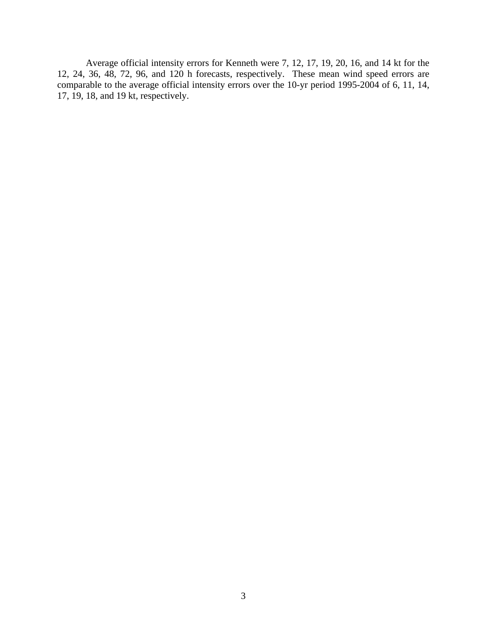Average official intensity errors for Kenneth were 7, 12, 17, 19, 20, 16, and 14 kt for the 12, 24, 36, 48, 72, 96, and 120 h forecasts, respectively. These mean wind speed errors are comparable to the average official intensity errors over the 10-yr period 1995-2004 of 6, 11, 14, 17, 19, 18, and 19 kt, respectively.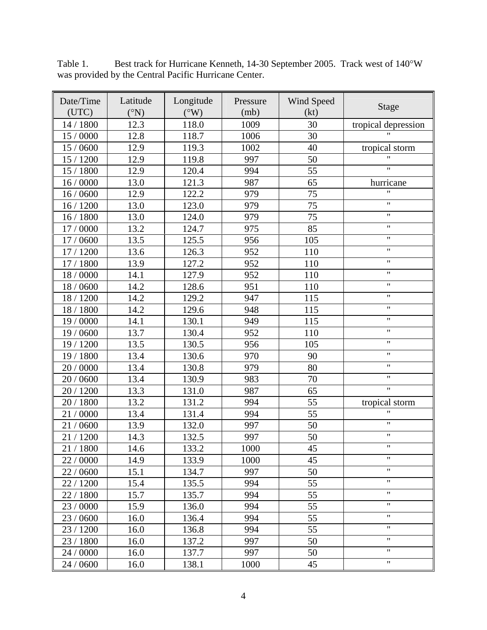| Date/Time<br>(UTC) | Latitude<br>$({}^{\circ}N)$ | Longitude<br>$(^{\circ}W)$ | Pressure<br>(mb) | Wind Speed<br>(kt) | Stage               |  |
|--------------------|-----------------------------|----------------------------|------------------|--------------------|---------------------|--|
| 14 / 1800          | 12.3                        | 118.0                      | 1009             | 30                 | tropical depression |  |
| 15 / 0000          | 12.8                        | 118.7                      | 1006             | 30                 |                     |  |
| 15 / 0600          | 12.9                        | 119.3                      | 1002             | 40                 | tropical storm      |  |
| 15 / 1200          | 12.9                        | 119.8                      | 997              | 50                 | $\mathbf{H}$        |  |
| 15 / 1800          | 12.9                        | 120.4                      | 994              | 55                 | $\pmb{\mathsf{H}}$  |  |
| 16/0000            | 13.0                        | 121.3                      | 987              | 65                 | hurricane           |  |
| 16/0600            | 12.9                        | 122.2                      | 979              | 75                 | $\pmb{\mathsf{H}}$  |  |
| 16/1200            | 13.0                        | 123.0                      | 979              | 75                 | $\pmb{\mathsf{H}}$  |  |
| 16 / 1800          | 13.0                        | 124.0                      | 979              | 75                 | $\pmb{\mathsf{H}}$  |  |
| 17 / 0000          | 13.2                        | 124.7                      | 975              | 85                 | $\pmb{\mathsf{H}}$  |  |
| 17 / 0600          | 13.5                        | 125.5                      | 956              | 105                | $\pmb{\mathsf{H}}$  |  |
| 17 / 1200          | 13.6                        | 126.3                      | 952              | 110                | $\pmb{\mathsf{H}}$  |  |
| 17 / 1800          | 13.9                        | 127.2                      | 952              | 110                | $\pmb{\mathsf{H}}$  |  |
| 18 / 0000          | 14.1                        | 127.9                      | 952              | 110                | $\pmb{\mathsf{H}}$  |  |
| 18 / 0600          | 14.2                        | 128.6                      | 951              | 110                | $\pmb{\mathsf{H}}$  |  |
| 18 / 1200          | 14.2                        | 129.2                      | 947              | 115                | $\pmb{\mathsf{H}}$  |  |
| 18 / 1800          | 14.2                        | 129.6                      | 948              | 115                | $\pmb{\mathsf{H}}$  |  |
| 19 / 0000          | 14.1                        | 130.1                      | 949              | 115                | $\pmb{\mathsf{H}}$  |  |
| 19 / 0600          | 13.7                        | 130.4                      | 952              | 110                | $\pmb{\mathsf{H}}$  |  |
| 19 / 1200          | 13.5                        | 130.5                      | 956              | 105                | $\pmb{\mathsf{H}}$  |  |
| 19 / 1800          | 13.4                        | 130.6                      | 970              | 90                 | $\pmb{\mathsf{H}}$  |  |
| 20 / 0000          | 13.4                        | 130.8                      | 979              | 80                 | $\pmb{\mathsf{H}}$  |  |
| 20 / 0600          | 13.4                        | 130.9                      | 983              | 70                 | $\pmb{\mathsf{H}}$  |  |
| 20 / 1200          | 13.3                        | 131.0                      | 987              | 65                 | $\pmb{\mathsf{H}}$  |  |
| 20 / 1800          | 13.2                        | 131.2                      | 994              | 55                 | tropical storm      |  |
| 21 / 0000          | 13.4                        | 131.4                      | 994              | 55                 | $^{\dagger}$        |  |
| 21/0600            | 13.9                        | 132.0                      | 997              | 50                 | $\pmb{\mathsf{H}}$  |  |
| 21 / 1200          | 14.3                        | 132.5                      | 997              | 50                 | $\pmb{\mathsf{H}}$  |  |
| 21 / 1800          | 14.6                        | 133.2                      | 1000             | 45                 | $\pmb{\mathsf{H}}$  |  |
| 22 / 0000          | 14.9                        | 133.9                      | 1000             | 45                 | $\pmb{\mathsf{H}}$  |  |
| 22 / 0600          | 15.1                        | 134.7                      | 997              | 50                 | $\pmb{\mathsf{H}}$  |  |
| 22 / 1200          | 15.4                        | 135.5                      | 994              | 55                 | $\pmb{\mathsf{H}}$  |  |
| 22 / 1800          | 15.7                        | 135.7                      | 994              | 55                 | $\pmb{\mathsf{H}}$  |  |
| 23 / 0000          | 15.9                        | 136.0                      | 994              | 55                 | $\pmb{\mathsf{H}}$  |  |
| 23 / 0600          | 16.0                        | 136.4                      | 994              | 55                 | $\pmb{\mathsf{H}}$  |  |
| 23 / 1200          | 16.0                        | 136.8                      | 994              | 55                 | $\pmb{\mathsf{H}}$  |  |
| 23 / 1800          | 16.0                        | 137.2                      | 997              | 50                 | $\pmb{\mathsf{H}}$  |  |
| 24 / 0000          | 16.0                        | 137.7                      | 997              | 50                 | $\pmb{\mathsf{H}}$  |  |
| 24 / 0600          | 16.0                        | 138.1                      | 1000             | 45                 | $\mathbf{H}$        |  |

Table 1. Best track for Hurricane Kenneth, 14-30 September 2005. Track west of 140°W was provided by the Central Pacific Hurricane Center.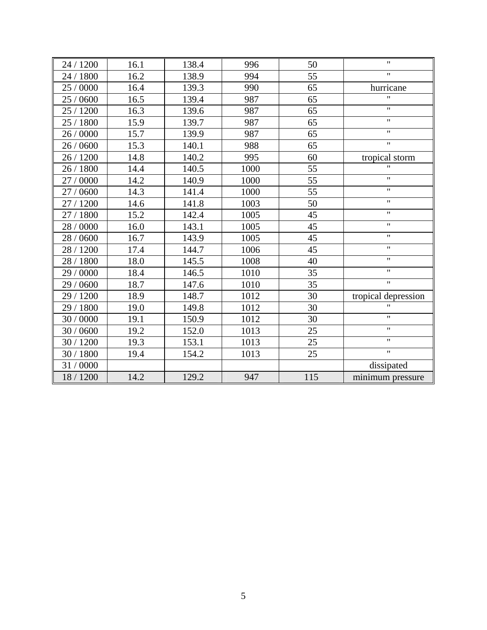| 24 / 1200 | 16.1 | 138.4 | 996  | 50  | $\pmb{\mathsf{H}}$        |  |
|-----------|------|-------|------|-----|---------------------------|--|
| 24 / 1800 | 16.2 | 138.9 | 994  | 55  | $\pmb{\mathsf{H}}$        |  |
| 25 / 0000 | 16.4 | 139.3 | 990  | 65  | hurricane                 |  |
| 25 / 0600 | 16.5 | 139.4 | 987  | 65  | $\pmb{\mathsf{H}}$        |  |
| 25 / 1200 | 16.3 | 139.6 | 987  | 65  | $\boldsymbol{\mathsf{H}}$ |  |
| 25 / 1800 | 15.9 | 139.7 | 987  | 65  | $\pmb{\mathsf{H}}$        |  |
| 26 / 0000 | 15.7 | 139.9 | 987  | 65  | $\pmb{\mathsf{H}}$        |  |
| 26 / 0600 | 15.3 | 140.1 | 988  | 65  | $\pmb{\mathsf{H}}$        |  |
| 26 / 1200 | 14.8 | 140.2 | 995  | 60  | tropical storm            |  |
| 26 / 1800 | 14.4 | 140.5 | 1000 | 55  | $^{\prime}$               |  |
| 27 / 0000 | 14.2 | 140.9 | 1000 | 55  | $\pmb{\mathsf{H}}$        |  |
| 27 / 0600 | 14.3 | 141.4 | 1000 | 55  | $\boldsymbol{\mathsf{H}}$ |  |
| 27 / 1200 | 14.6 | 141.8 | 1003 | 50  | $\pmb{\mathsf{H}}$        |  |
| 27 / 1800 | 15.2 | 142.4 | 1005 | 45  | $\pmb{\mathsf{H}}$        |  |
| 28 / 0000 | 16.0 | 143.1 | 1005 | 45  | $\pmb{\mathsf{H}}$        |  |
| 28 / 0600 | 16.7 | 143.9 | 1005 | 45  | $\pmb{\mathsf{H}}$        |  |
| 28 / 1200 | 17.4 | 144.7 | 1006 | 45  | $\boldsymbol{\mathsf{H}}$ |  |
| 28 / 1800 | 18.0 | 145.5 | 1008 | 40  | Ħ                         |  |
| 29 / 0000 | 18.4 | 146.5 | 1010 | 35  | $\pmb{\mathsf{H}}$        |  |
| 29 / 0600 | 18.7 | 147.6 | 1010 | 35  | $\mathbf{H}$              |  |
| 29 / 1200 | 18.9 | 148.7 | 1012 | 30  | tropical depression       |  |
| 29 / 1800 | 19.0 | 149.8 | 1012 | 30  | $^{\prime}$               |  |
| 30 / 0000 | 19.1 | 150.9 | 1012 | 30  | $\boldsymbol{\mathsf{H}}$ |  |
| 30 / 0600 | 19.2 | 152.0 | 1013 | 25  | $\pmb{\mathsf{H}}$        |  |
| 30 / 1200 | 19.3 | 153.1 | 1013 | 25  | $\pmb{\mathsf{H}}$        |  |
| 30 / 1800 | 19.4 | 154.2 | 1013 | 25  | $\overline{\mathbf{u}}$   |  |
| 31 / 0000 |      |       |      |     | dissipated                |  |
| 18 / 1200 | 14.2 | 129.2 | 947  | 115 | minimum pressure          |  |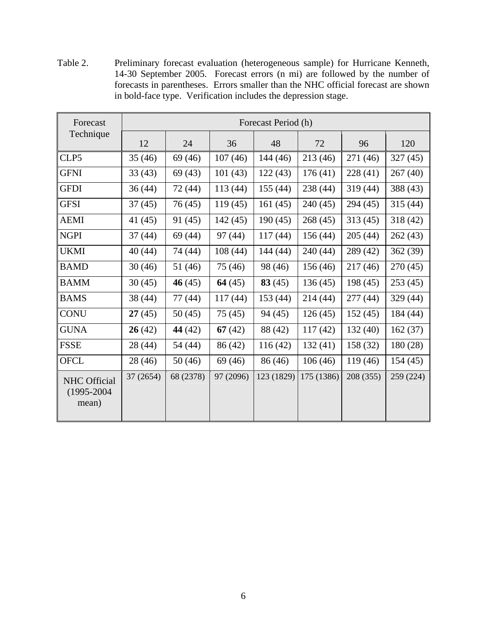Table 2. Preliminary forecast evaluation (heterogeneous sample) for Hurricane Kenneth, 14-30 September 2005. Forecast errors (n mi) are followed by the number of forecasts in parentheses. Errors smaller than the NHC official forecast are shown in bold-face type. Verification includes the depression stage.

| Forecast                                        | Forecast Period (h) |           |           |            |            |           |           |  |
|-------------------------------------------------|---------------------|-----------|-----------|------------|------------|-----------|-----------|--|
| Technique                                       | 12                  | 24        | 36        | 48         | 72         | 96        | 120       |  |
| CLP5                                            | 35(46)              | 69 (46)   | 107(46)   | 144 (46)   | 213(46)    | 271 (46)  | 327(45)   |  |
| <b>GFNI</b>                                     | 33(43)              | 69(43)    | 101(43)   | 122(43)    | 176(41)    | 228(41)   | 267(40)   |  |
| <b>GFDI</b>                                     | 36(44)              | 72 (44)   | 113(44)   | 155(44)    | 238 (44)   | 319(44)   | 388 (43)  |  |
| <b>GFSI</b>                                     | 37(45)              | 76 (45)   | 119(45)   | 161(45)    | 240 (45)   | 294 (45)  | 315(44)   |  |
| <b>AEMI</b>                                     | 41 (45)             | 91 (45)   | 142(45)   | 190(45)    | 268(45)    | 313(45)   | 318(42)   |  |
| <b>NGPI</b>                                     | 37(44)              | 69 (44)   | 97 (44)   | 117(44)    | 156(44)    | 205(44)   | 262(43)   |  |
| <b>UKMI</b>                                     | 40 (44)             | 74 (44)   | 108(44)   | 144(44)    | 240(44)    | 289 (42)  | 362(39)   |  |
| <b>BAMD</b>                                     | 30(46)              | 51 (46)   | 75 (46)   | 98 (46)    | 156(46)    | 217(46)   | 270(45)   |  |
| <b>BAMM</b>                                     | 30(45)              | 46 $(45)$ | 64 $(45)$ | 83(45)     | 136(45)    | 198(45)   | 253(45)   |  |
| <b>BAMS</b>                                     | 38 (44)             | 77 (44)   | 117(44)   | 153 (44)   | 214 (44)   | 277(44)   | 329 (44)  |  |
| <b>CONU</b>                                     | 27(45)              | 50(45)    | 75(45)    | 94(45)     | 126(45)    | 152(45)   | 184 (44)  |  |
| <b>GUNA</b>                                     | 26(42)              | 44 (42)   | 67(42)    | 88 (42)    | 117(42)    | 132(40)   | 162(37)   |  |
| <b>FSSE</b>                                     | 28 (44)             | 54 (44)   | 86 (42)   | 116 (42)   | 132(41)    | 158 (32)  | 180(28)   |  |
| <b>OFCL</b>                                     | 28 (46)             | 50(46)    | 69 (46)   | 86 (46)    | 106(46)    | 119(46)   | 154(45)   |  |
| <b>NHC</b> Official<br>$(1995 - 2004)$<br>mean) | 37 (2654)           | 68 (2378) | 97 (2096) | 123 (1829) | 175 (1386) | 208 (355) | 259 (224) |  |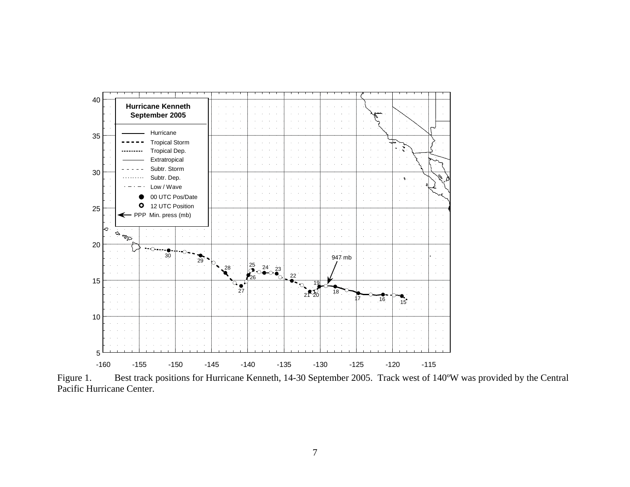

Figure 1. Best track positions for Hurricane Kenneth, 14-30 September 2005. Track west of 140ºW was provided by the Central Pacific Hurricane Center.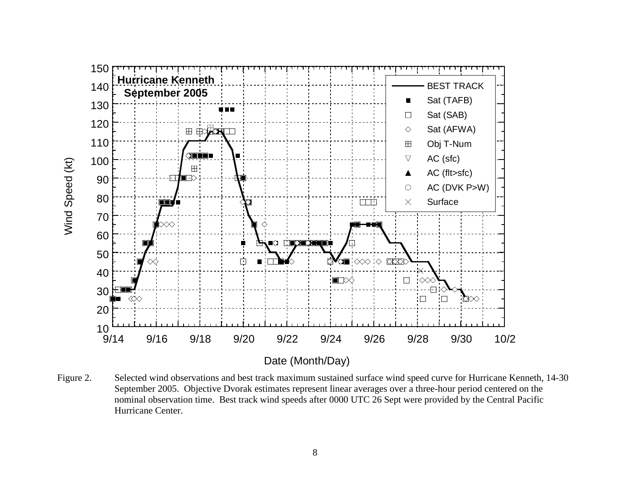

Figure 2. Selected wind observations and best track maximum sustained surface wind speed curve for Hurricane Kenneth, 14-30 September 2005. Objective Dvorak estimates represent linear averages over a three-hour period centered on the nominal observation time. Best track wind speeds after 0000 UTC 26 Sept were provided by the Central Pacific Hurricane Center.